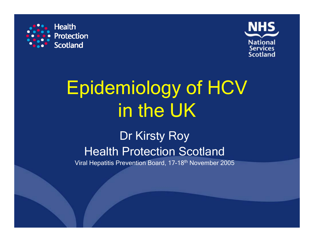



# Epidemiology of HCV in the UK

# Dr Kirsty Roy Health Protection Scotland

Viral Hepatitis Prevention Board, 17-18th November 2005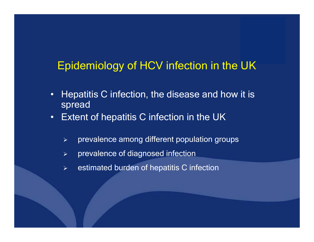### Epidemiology of HCV infection in the UK

- •Hepatitis C infection, the disease and how it is spread
- •Extent of hepatitis C infection in the UK
	- $\blacktriangleright$ prevalence among different population groups
	- $\blacktriangleright$ prevalence of diagnosed infection
	- $\blacktriangleright$ estimated burden of hepatitis C infection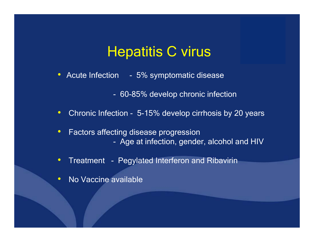# Hepatitis C virus

- Acute Infection 5% symptomatic disease
	- 60-85% develop c hronic infection
- •• Chronic Infection - 5-15% develop cirrhosis by 20 years
- $\bullet$  Factors affecting disease progression - Age at infection, gender, alcohol and HIV
- $\bullet$ • Treatment - Pegylated Interferon and Ribavirin
- $\bullet$ No Vaccine available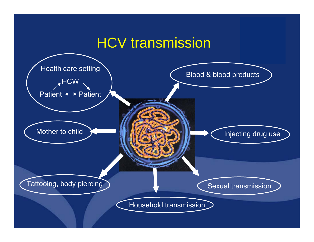# HCV transmission

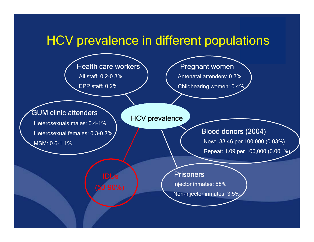### HCV prevalence in different populations

Health care workers

All staff: 0.2-0.3%

EPP staff: 0.2%

#### Pregnant women

Antenatal attenders: 0.3%

Childbearing women: 0.4%

#### GUM clinic attenders

Heterosexuals males: 0.4-1%Heterosexual females: 0.3-0.7%

MSM: 0.6-1.1%

#### HCV prevalence

#### Blood donors (2004)

New: 33.46 per 100,000 (0.03%) Repeat: 1.09 per 100,000 (0.001%)

#### Prisoners

Injector inmates: 58%

Non-injector inmates: 3.5%

IDUs(50-90%)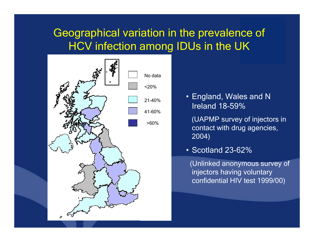### Geographical variation in the prevalence of HCV infection among IDUs in the UK



• England, Wales and N Ireland 18-59%

(UAPMP survey of injectors in contact with drug agencies, 2004)

• Scotland 23-62%

(Unlinked anonymous survey of injectors having voluntary confidential HIV test 1999/00)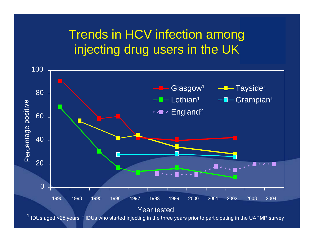## Trends in HCV infection among injecting drug users in the UK



IDUs aged <25 years; <sup>2</sup> IDUs who started injecting in the three years prior to participating in the UAPMP survey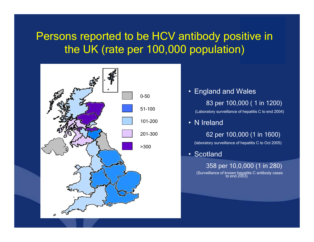### Persons reported to be HCV antibody positive in the UK (rate per 100,000 population)



- England and Wales
	- 83 per 100,000 ( 1 in 1200)

(Laboratory surveillance of hepatitis C to end 200 4)

• N Ireland

62 per 100,000 (1 in 1600)

(laborator y sur v eillance of hepatitis C to O ct 2005)

• Scotland

358 per 10,0,000 (1 in 280) (Surveillance of known hepatitis C antibody cases<br>to end 2003)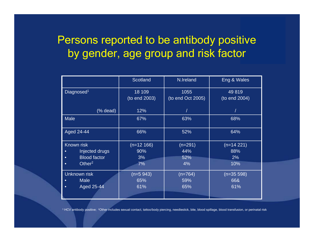### Persons reported to be antibody positive by gender, age group and risk factor

|                                  | <b>Scotland</b> | N.Ireland         | Eng & Wales   |
|----------------------------------|-----------------|-------------------|---------------|
| Diagnosed <sup>1</sup>           | 18 109          | 1055              | 49819         |
|                                  | (to end 2003)   | (to end Oct 2005) | (to end 2004) |
| (% dead)                         | 12%             |                   |               |
| <b>Male</b>                      | 67%             | 63%               | 68%           |
| Aged 24-44                       | 66%             | 52%               | 64%           |
| Known risk                       | $(n=12 166)$    | $(n=291)$         | $(n=14 221)$  |
| Injected drugs<br>$\bullet$      | 90%             | 44%               | 88%           |
| <b>Blood factor</b><br>$\bullet$ | 3%              | 52%               | 2%            |
| Other <sup>2</sup><br>$\bullet$  | 7%              | 4%                | 10%           |
| <b>Unknown risk</b>              | $(n=5943)$      | $(n=764)$         | $(n=35 598)$  |
| <b>Male</b><br>$\bullet$         | 65%             | 59%               | 66&           |
| Aged 25-44<br>$\bullet$          | 61%             | 65%               | 61%           |
|                                  |                 |                   |               |

1 HC V antibody positive; 2Other includes sexual contact, tattoo/body piercing, needlestick, bite, blood spillage, blood transfusion, or perinatal risk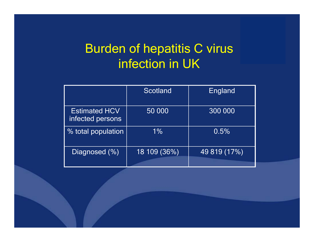# Burden of hepatitis C virus infection in UK

|                                          | Scotland     | England      |
|------------------------------------------|--------------|--------------|
| <b>Estimated HCV</b><br>infected persons | 50 000       | 300 000      |
| % total population                       | $1\%$        | 0.5%         |
| Diagnosed (%)                            | 18 109 (36%) | 49 819 (17%) |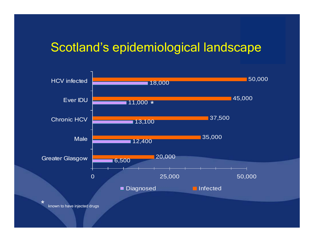### Scotland's epidemiological landscape